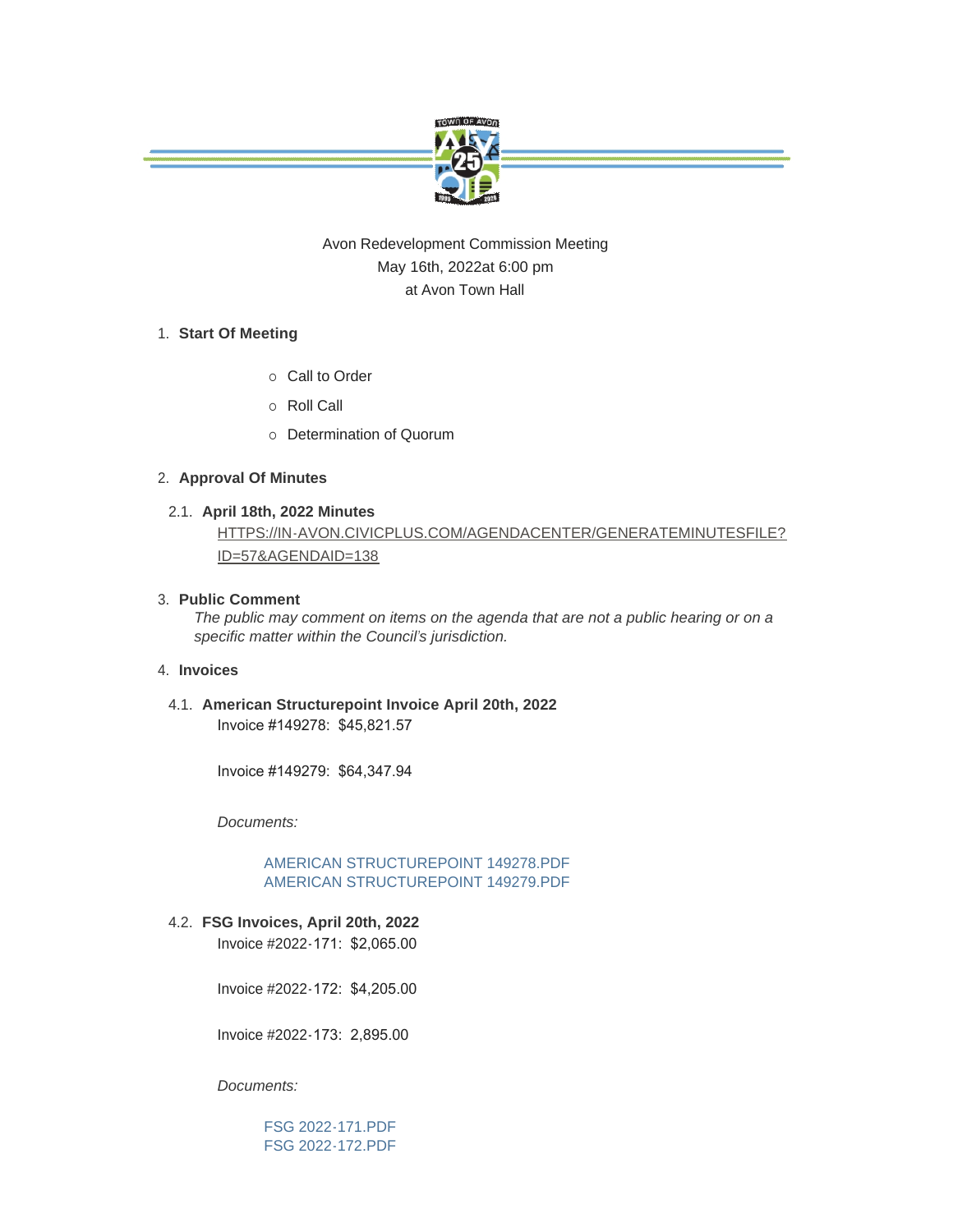

# Avon Redevelopment Commission Meeting May 16th, 2022at 6:00 pm at Avon Town Hall

# **Start Of Meeting** 1.

- o Call to Order
- ¡ Roll Call
- o Determination of Quorum

## **Approval Of Minutes** 2.

**April 18th, 2022 Minutes** 2.1.

# [HTTPS://IN-AVON.CIVICPLUS.COM/AGENDACENTER/GENERATEMINUTESFILE?](https://in-avon.civicplus.com/AgendaCenter/GenerateMinutesFile?id=57&agendaID=138) ID=57&AGENDAID=138

## **Public Comment** 3.

*The public may comment on items on the agenda that are not a public hearing or on a specific matter within the Council's jurisdiction.*

## **Invoices** 4.

**American Structurepoint Invoice April 20th, 2022** 4.1. Invoice #149278: \$45,821.57

Invoice #149279: \$64,347.94

*Documents:*

[AMERICAN STRUCTUREPOINT 149278.PDF](https://www.avongov.org/AgendaCenter/ViewFile/Item/503?fileID=367) [AMERICAN STRUCTUREPOINT 149279.PDF](https://www.avongov.org/AgendaCenter/ViewFile/Item/503?fileID=368)

**FSG Invoices, April 20th, 2022** 4.2.

Invoice #2022-171: \$2,065.00

Invoice #2022-172: \$4,205.00

Invoice #2022-173: 2,895.00

*Documents:*

[FSG 2022-171.PDF](https://www.avongov.org/AgendaCenter/ViewFile/Item/504?fileID=369) [FSG 2022-172.PDF](https://www.avongov.org/AgendaCenter/ViewFile/Item/504?fileID=370)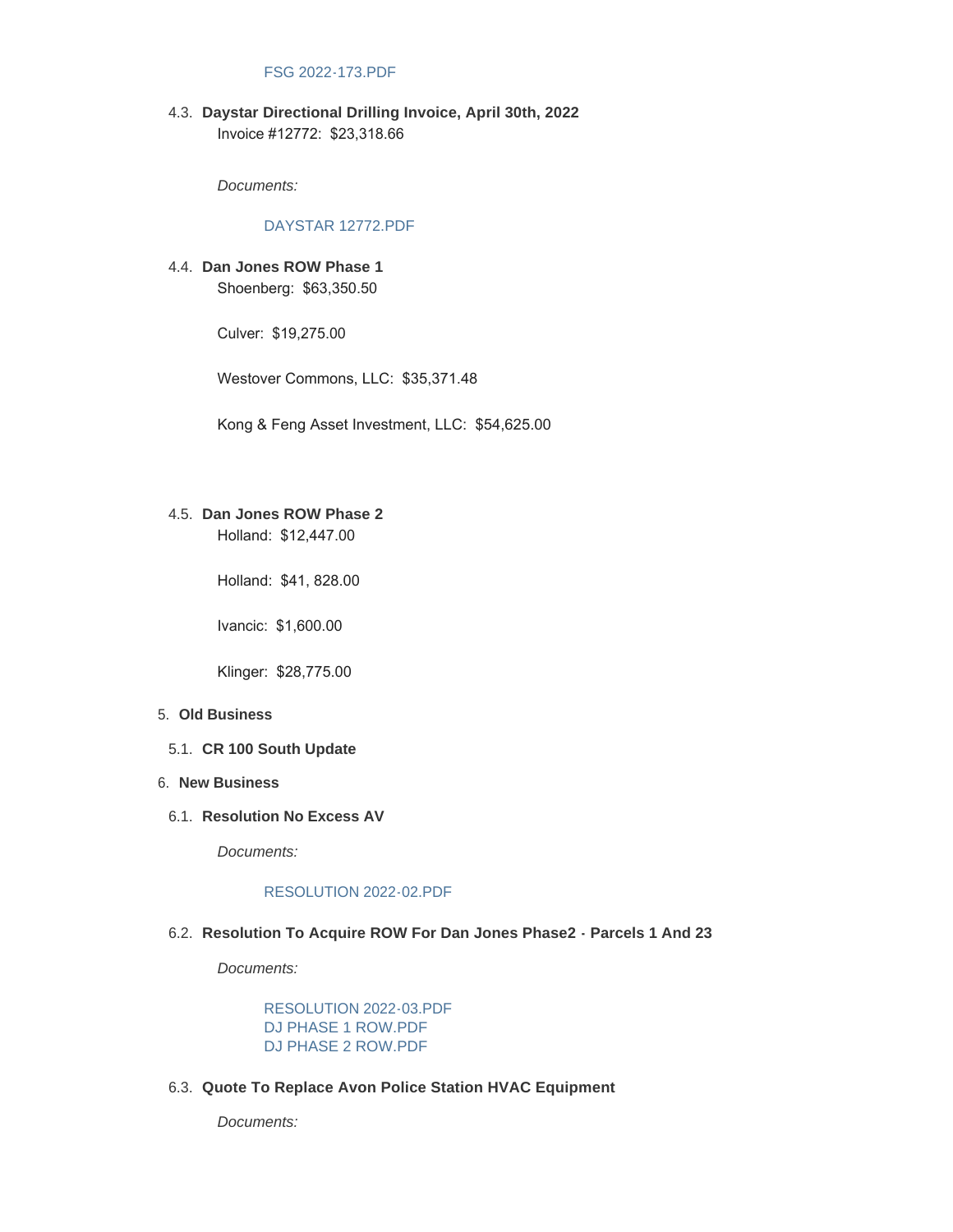## [FSG 2022-173.PDF](https://www.avongov.org/AgendaCenter/ViewFile/Item/504?fileID=371)

**Daystar Directional Drilling Invoice, April 30th, 2022** 4.3. Invoice #12772: \$23,318.66

*Documents:*

#### [DAYSTAR 12772.PDF](https://www.avongov.org/AgendaCenter/ViewFile/Item/505?fileID=372)

**Dan Jones ROW Phase 1** 4.4. Shoenberg: \$63,350.50

Culver: \$19,275.00

Westover Commons, LLC: \$35,371.48

Kong & Feng Asset Investment, LLC: \$54,625.00

# **Dan Jones ROW Phase 2** 4.5.

Holland: \$12,447.00

Holland: \$41, 828.00

Ivancic: \$1,600.00

Klinger: \$28,775.00

#### **Old Business** 5.

**CR 100 South Update** 5.1.

#### **New Business** 6.

6.1. Resolution No Excess AV

*Documents:*

#### [RESOLUTION 2022-02.PDF](https://www.avongov.org/AgendaCenter/ViewFile/Item/509?fileID=384)

## **Resolution To Acquire ROW For Dan Jones Phase2 - Parcels 1 And 23** 6.2.

*Documents:*

[RESOLUTION 2022-03.PDF](https://www.avongov.org/AgendaCenter/ViewFile/Item/510?fileID=382) [DJ PHASE 1 ROW.PDF](https://www.avongov.org/AgendaCenter/ViewFile/Item/510?fileID=380) [DJ PHASE 2 ROW.PDF](https://www.avongov.org/AgendaCenter/ViewFile/Item/510?fileID=381)

**Quote To Replace Avon Police Station HVAC Equipment** 6.3.

*Documents:*